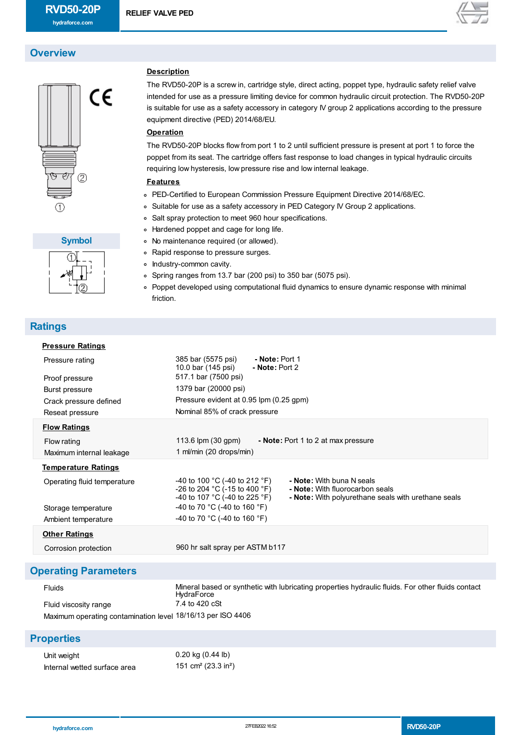**RELIEF VALVE PED**

**Description**

**Operation**

**Features**

equipment directive (PED) 2014/68/EU.

requiring low hysteresis, low pressure rise and low internal leakage.

Salt spray protection to meet 960 hour specifications.

Hardened poppet and cage for long life. No maintenance required (or allowed). Rapid response to pressure surges.

PED-Certified to European Commission Pressure Equipment Directive 2014/68/EC. Suitable for use as a safety accessory in PED Category IV Group 2 applications.



# **Overview**





## **Ratings**

| ┖┚ | • Spring ranges from 13.7 bar (200 psi) to 350 bar (5075 psi).                                |
|----|-----------------------------------------------------------------------------------------------|
|    | • Poppet developed using computational fluid dynamics to ensure dynamic response with minimal |
|    | friction.                                                                                     |
|    |                                                                                               |

• Industry-common cavity.

| <b>Pressure Ratings</b>     |                                                                                                                                                                                                                        |
|-----------------------------|------------------------------------------------------------------------------------------------------------------------------------------------------------------------------------------------------------------------|
| Pressure rating             | 385 bar (5575 psi)<br>- Note: Port 1<br>10.0 bar (145 psi)<br>- Note: Port 2                                                                                                                                           |
| Proof pressure              | 517.1 bar (7500 psi)                                                                                                                                                                                                   |
| Burst pressure              | 1379 bar (20000 psi)                                                                                                                                                                                                   |
| Crack pressure defined      | Pressure evident at 0.95 lpm (0.25 gpm)                                                                                                                                                                                |
| Reseat pressure             | Nominal 85% of crack pressure                                                                                                                                                                                          |
| <b>Flow Ratings</b>         |                                                                                                                                                                                                                        |
| Flow rating                 | 113.6 $\mu$ (30 gpm)<br>- Note: Port 1 to 2 at max pressure                                                                                                                                                            |
| Maximum internal leakage    | 1 ml/min (20 drops/min)                                                                                                                                                                                                |
| <u>Temperature Ratings</u>  |                                                                                                                                                                                                                        |
| Operating fluid temperature | -40 to 100 °C (-40 to 212 °F)<br>- Note: With buna N seals<br>-26 to 204 °C (-15 to 400 °F)<br>- Note: With fluorocarbon seals<br>-40 to 107 °C (-40 to 225 °F)<br>- Note: With polyurethane seals with urethane seals |
| Storage temperature         | -40 to 70 °C (-40 to 160 °F)                                                                                                                                                                                           |
| Ambient temperature         | -40 to 70 °C (-40 to 160 °F)                                                                                                                                                                                           |
| <b>Other Ratings</b>        |                                                                                                                                                                                                                        |
| Corrosion protection        | 960 hr salt spray per ASTM b117                                                                                                                                                                                        |
|                             |                                                                                                                                                                                                                        |

The RVD50-20P is a screw in, cartridge style, direct acting, poppet type, hydraulic safety relief valve intended for use as a pressure limiting device for common hydraulic circuit protection. The RVD50-20P is suitable for use as a safety accessory in category IV group 2 applications according to the pressure

The RVD50-20P blocks flow from port 1 to 2 until sufficient pressure is present at port 1 to force the poppet from its seat. The cartridge offers fast response to load changes in typical hydraulic circuits

## **Operating Parameters**

| <b>Fluids</b>                                               | Mineral based or synthetic with lubricating properties hydraulic fluids. For other fluids contact<br>HydraForce |  |
|-------------------------------------------------------------|-----------------------------------------------------------------------------------------------------------------|--|
| Fluid viscosity range                                       | 7.4 to 420 cSt                                                                                                  |  |
| Maximum operating contamination level 18/16/13 per ISO 4406 |                                                                                                                 |  |

### **Properties**

| Unit weight                  | 0.20 kg (0.44 lb)                           |
|------------------------------|---------------------------------------------|
| Internal wetted surface area | 151 cm <sup>2</sup> (23.3 in <sup>2</sup> ) |

| hydraforce.com | 27FEB2022 16:52 | <b>RVD50-20P</b> |
|----------------|-----------------|------------------|
|----------------|-----------------|------------------|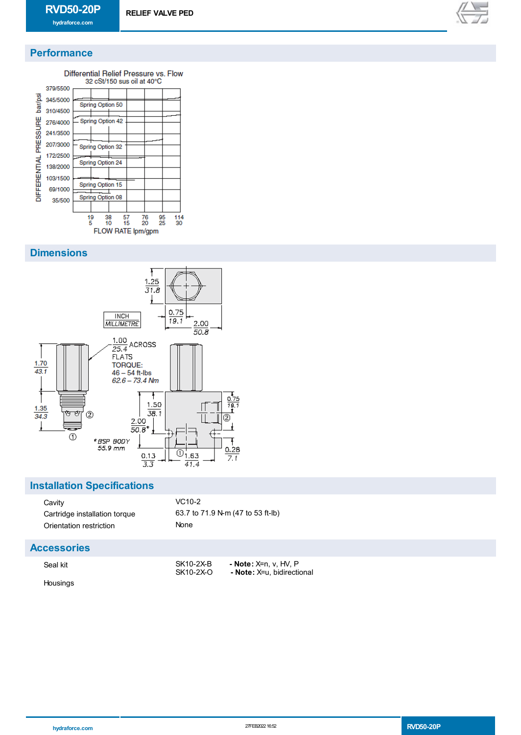

# **Performance**



#### **Dimensions**



### **Installation Specifications**

| Cavity                        | VC <sub>10</sub> |
|-------------------------------|------------------|
| Cartridge installation torque | 63.7t            |
| Orientation restriction       | None             |

 $VC10-2$ 63.7 to 71.9 N-m (47 to 53 ft-lb)

#### **Accessories**

Housings

| Seal kit | SK10-2X-B | <b>- Note:</b> X=n, v, HV, P |
|----------|-----------|------------------------------|
|          | SK10-2X-O | - Note: X=u, bidirectional   |